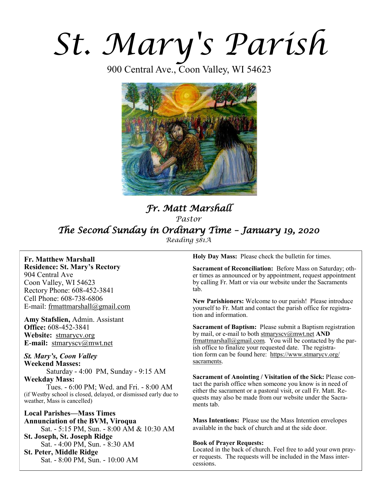# *St. Mary's Parish*

900 Central Ave., Coon Valley, WI 54623



# *Fr. Matt Marshall Pastor The Second Sunday in Ordinary Time – January 19, 2020 Reading 581A*

**Fr. Matthew Marshall Residence: St. Mary's Rectory** 904 Central Ave Coon Valley, WI 54623 Rectory Phone: 608-452-3841 Cell Phone: 608-738-6806 E-mail: [frmattmarshall@gmail.com](mailto:frmattmarshall@gmail.com)

**Amy Stafslien,** Admin. Assistant **Office:** 608-452-3841 **Website:** <stmarycv.org> **E-mail:** [stmaryscv@mwt.net](mailto:stmaryscv@mwt.net)

# *St. Mary's, Coon Valley*  **Weekend Masses:** Saturday - 4:00 PM, Sunday - 9:15 AM **Weekday Mass:**

Tues. - 6:00 PM; Wed. and Fri. - 8:00 AM (if Westby school is closed, delayed, or dismissed early due to weather, Mass is cancelled)

**Local Parishes—Mass Times Annunciation of the BVM, Viroqua** Sat. - 5:15 PM, Sun. - 8:00 AM & 10:30 AM **St. Joseph, St. Joseph Ridge** Sat. - 4:00 PM, Sun. - 8:30 AM **St. Peter, Middle Ridge** Sat. - 8:00 PM, Sun. - 10:00 AM

**Holy Day Mass:** Please check the bulletin for times.

**Sacrament of Reconciliation:** Before Mass on Saturday; other times as announced or by appointment, request appointment by calling Fr. Matt or via our website under the Sacraments tab.

**New Parishioners:** Welcome to our parish! Please introduce yourself to Fr. Matt and contact the parish office for registration and information.

**Sacrament of Baptism:** Please submit a Baptism registration by mail, or e-mail to both [stmaryscv@mwt.net](mailto:stmaryscv@mwt.net) **AND** [frmattmarshall@gmail.com](mailto:frmattmarshall@gmail.com)*.* You will be contacted by the parish office to finalize your requested date. The registration form can be found here: [https://www.stmarycv.org/](https://www.stmarycv.org/sacraments) [sacraments.](https://www.stmarycv.org/sacraments) 

**Sacrament of Anointing / Visitation of the Sick:** Please contact the parish office when someone you know is in need of either the sacrament or a pastoral visit, or call Fr. Matt. Requests may also be made from our website under the Sacraments tab.

**Mass Intentions:** Please use the Mass Intention envelopes available in the back of church and at the side door.

#### **Book of Prayer Requests:**

Located in the back of church. Feel free to add your own prayer requests. The requests will be included in the Mass intercessions.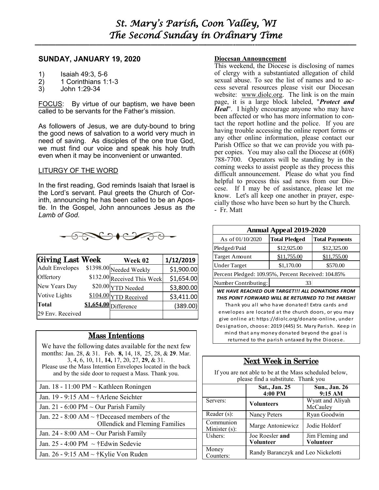**—————————————————————————–———–-——–--—————————————–—**

# **SUNDAY, JANUARY 19, 2020**

- 1) Isaiah 49:3, 5-6<br>2) 1 Corinthians 1:
- 2) 1 Corinthians 1:1-3
- 3) John 1:29-34

FOCUS: By virtue of our baptism, we have been called to be servants for the Father's mission.

As followers of Jesus, we are duty-bound to bring the good news of salvation to a world very much in need of saving. As disciples of the one true God, we must find our voice and speak his holy truth even when it may be inconvenient or unwanted.

# LITURGY OF THE WORD

In the first reading, God reminds Isaiah that Israel is the Lord's servant. Paul greets the Church of Corinth, announcing he has been called to be an Apostle. In the Gospel, John announces Jesus as *the Lamb of God*.



| <b>Giving Last Week</b> | Week 02                     | 1/12/2019  |
|-------------------------|-----------------------------|------------|
| <b>Adult Envelopes</b>  | \$1398.00 Needed Weekly     | \$1,900.00 |
| Offertory               | \$132.00 Received This Week | \$1,654.00 |
| New Years Day           | \$20.00 YTD Needed          | \$3,800.00 |
| Votive Lights           | \$104.00 YTD Received       | \$3,411.00 |
| Total                   | \$1,654.00 Difference       | (389.00)   |
| 29 Env. Received        |                             |            |

# Mass Intentions

We have the following dates available for the next few months: Jan. 28, & 31. Feb. **8,** 14, 18,25, 28, & **29**. Mar. 3, 4, 6, 10, 11, **14,** 17, 20, 27, **29,** & 31. Please use the Mass Intention Envelopes located in the back and by the side door to request a Mass. Thank you.

Jan. 19 - 9:15 AM ~ †Arlene Seichter

Jan. 21 - 6:00 PM  $\sim$  Our Parish Family

Jan. 22 - 8:00 AM ~ †Deceased members of the Ollendick and Fleming Families

Jan. 24 - 8:00 AM  $\sim$  Our Parish Family

Jan. 25 - 4:00 PM  $\sim$  †Edwin Sedevie

Jan. 26 - 9:15 AM ~ †Kylie Von Ruden

## **Diocesan Announcement**

This weekend, the Diocese is disclosing of names of clergy with a substantiated allegation of child sexual abuse. To see the list of names and to access several resources please visit our Diocesan website: [www.diolc.org.](http://www.diolc.org) The link is on the main page, it is a large block labeled, "*Protect and Heal*". I highly encourage anyone who may have been affected or who has more information to contact the report hotline and the police. If you are having trouble accessing the online report forms or any other online information, please contact our Parish Office so that we can provide you with paper copies. You may also call the Diocese at (608) 788-7700. Operators will be standing by in the coming weeks to assist people as they process this difficult announcement. Please do what you find helpful to process this sad news from our Diocese. If I may be of assistance, please let me know. Let's all keep one another in prayer, especially those who have been so hurt by the Church. - Fr. Matt

| <b>Annual Appeal 2019-2020</b>                      |                      |                       |  |  |
|-----------------------------------------------------|----------------------|-----------------------|--|--|
| As of 01/10/2020                                    | <b>Total Pledged</b> | <b>Total Payments</b> |  |  |
| Pledged/Paid                                        | \$12,925.00          | \$12,325.00           |  |  |
| <b>Target Amount</b>                                | \$11,755.00          | \$11,755.00           |  |  |
| <b>Under Target</b>                                 | \$1,170.00           | \$570.00              |  |  |
| Percent Pledged: 109.95%, Percent Received: 104.85% |                      |                       |  |  |
| Number Contributing:                                | 33                   |                       |  |  |

*WE HAVE REACHED OUR TARGET!!! ALL DONATIONS FROM THIS POINT FORWARD WILL BE RETURNED TO THE PARISH!*  Thank you all who have donated! Extra cards and envelopes are located at the church doors, or you may give online at: https://diolc.org/donate-online, under Designation, choose: 2019 (445) St. Mary Parish. Keep in mind that any money donated beyond the goal is returned to the parish untaxed by the Diocese.

# Next Week in Service

If you are not able to be at the Mass scheduled below, please find a substitute. Thank you

|                            | Sat., Jan. 25<br>4:00 PM           | <b>Sun., Jan. 26</b><br>9:15AM |  |  |
|----------------------------|------------------------------------|--------------------------------|--|--|
| Servers:                   | <b>Volunteers</b>                  | Wyatt and Aliyah<br>McCauley   |  |  |
| Reader (s):                | Nancy Peters                       | Ryan Goodwin                   |  |  |
| Communion<br>Minister (s): | Marge Antoniewicz                  | Jodie Holdorf                  |  |  |
| Ushers:                    | Joe Roesler and<br>Volunteer       | Jim Fleming and<br>Volunteer   |  |  |
| Money<br>Counters:         | Randy Baranczyk and Leo Nickelotti |                                |  |  |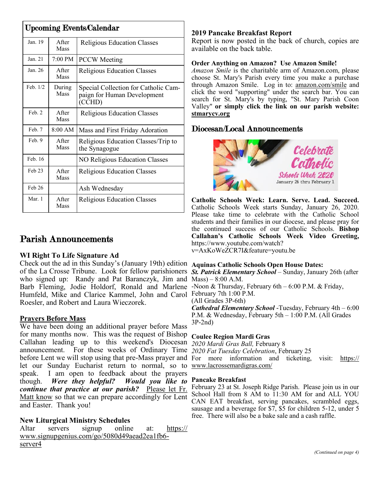| <b>Upcoming Events/Calendar</b> |                       |                                                                               |  |  |
|---------------------------------|-----------------------|-------------------------------------------------------------------------------|--|--|
| Jan. 19                         | A fter<br>Mass        | <b>Religious Education Classes</b>                                            |  |  |
| Jan. 21                         | $7:00 \text{ PM}$     | <b>PCCW</b> Meeting                                                           |  |  |
| Jan. 26                         | A fter<br><b>Mass</b> | <b>Religious Education Classes</b>                                            |  |  |
| Feb. 1/2                        | During<br>Mass        | Special Collection for Catholic Cam-<br>paign for Human Development<br>(CCHD) |  |  |
| Feb. 2                          | <b>A</b> fter<br>Mass | <b>Religious Education Classes</b>                                            |  |  |
| Feb. 7                          | $8:00$ AM             | Mass and First Friday Adoration                                               |  |  |
| Feb. 9                          | <b>A</b> fter<br>Mass | Religious Education Classes/Trip to<br>the Synagogue                          |  |  |
| Feb. 16                         |                       | <b>NO Religious Education Classes</b>                                         |  |  |
| $Feh$ 23                        | <b>A</b> fter<br>Mass | <b>Religious Education Classes</b>                                            |  |  |
| Feb 26                          |                       | Ash Wednesday                                                                 |  |  |
| Mar. 1                          | A fter<br>Mass        | <b>Religious Education Classes</b>                                            |  |  |

# Parish Announcements

# **WI Right To Life Signature Ad**

Check out the ad in this Sunday's (January 19th) edition **Aquinas Catholic Schools Open House Dates:**  of the La Crosse Tribune. Look for fellow parishioners *St. Patrick Elementary School* – Sunday, January 26th (after who signed up: Randy and Pat Baranczyk, Jim and Mass) – 8:00 A.M. Barb Fleming, Jodie Holdorf, Ronald and Marlene -Noon & Thursday, February 6th - 6:00 P.M. & Friday, Humfeld, Mike and Clarice Kammel, John and Carol February 7th 1:00 P.M. Roesler, and Robert and Laura Wieczorek.

# **Prayers Before Mass**

We have been doing an additional prayer before Mass for many months now. This was the request of Bishop Callahan leading up to this weekend's Diocesan announcement. For these weeks of Ordinary Time *2020 Fat Tuesday Celebration*, February 25 before Lent we will stop using that pre-Mass prayer and For more information and ticketing, visit: [https://](https://www.lacrossemardigras.com/) let our Sunday Eucharist return to normal, so to [www.lacrossemardigras.com/](https://www.lacrossemardigras.com/) speak. I am open to feedback about the prayers though. *Were they helpful? Would you like to continue that practice at our parish?* Please let Fr. Matt know so that we can prepare accordingly for Lent and Easter. Thank you!

# **New Liturgical Ministry Schedules**

Altar servers signup online at: [https://](https://www.signupgenius.com/go/5080d49aead2ea1fb6-server4) [www.signupgenius.com/go/5080d49aead2ea1fb6](https://www.signupgenius.com/go/5080d49aead2ea1fb6-server4) [server4](https://www.signupgenius.com/go/5080d49aead2ea1fb6-server4)

# **2019 Pancake Breakfast Report**

Report is now posted in the back of church, copies are available on the back table.

# **Order Anything on Amazon? Use Amazon Smile!**

*Amazon Smile* is the charitable arm of Amazon.com, please choose St. Mary's Parish every time you make a purchase through Amazon Smile. Log in to: [amazon.com/smile](http://amazon.com/smile) and click the word "supporting" under the search bar. You can search for St. Mary's by typing, "St. Mary Parish Coon Valley" **or simply click the link on our parish website: <stmarycv.org>**

# Diocesan/Local Announcements



**Catholic Schools Week: Learn. Serve. Lead. Succeed.**  Catholic Schools Week starts Sunday, January 26, 2020. Please take time to celebrate with the Catholic School students and their families in our diocese, and please pray for the continued success of our Catholic Schools. **Bishop Callahan's Catholic Schools Week Video Greeting,**  https://www.youtube.com/watch? v=AxKoWeZCR7I&feature=youtu.be

(All Grades 3P-6th) *Cathedral Elementary School* -Tuesday, February 4th – 6:00 P.M. & Wednesday, February 5th – 1:00 P.M. (All Grades 3P-2nd)

**Coulee Region Mardi Gras** 

*2020 Mardi Gras Ball,* February 8

# **Pancake Breakfast**

February 23 at St. Joseph Ridge Parish. Please join us in our School Hall from 8 AM to 11:30 AM for and ALL YOU CAN EAT breakfast, serving pancakes, scrambled eggs, sausage and a beverage for \$7, \$5 for children 5-12, under 5 free. There will also be a bake sale and a cash raffle.